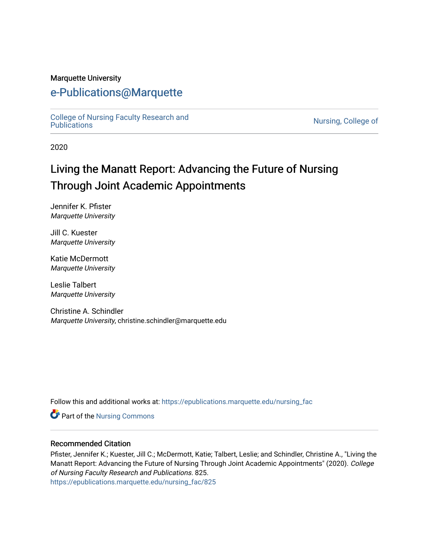#### Marquette University

# [e-Publications@Marquette](https://epublications.marquette.edu/)

[College of Nursing Faculty Research and](https://epublications.marquette.edu/nursing_fac)<br>Publications

Nursing, College of

2020

# Living the Manatt Report: Advancing the Future of Nursing Through Joint Academic Appointments

Jennifer K. Pfister Marquette University

Jill C. Kuester Marquette University

Katie McDermott Marquette University

Leslie Talbert Marquette University

Christine A. Schindler Marquette University, christine.schindler@marquette.edu

Follow this and additional works at: [https://epublications.marquette.edu/nursing\\_fac](https://epublications.marquette.edu/nursing_fac?utm_source=epublications.marquette.edu%2Fnursing_fac%2F825&utm_medium=PDF&utm_campaign=PDFCoverPages)

Part of the [Nursing Commons](http://network.bepress.com/hgg/discipline/718?utm_source=epublications.marquette.edu%2Fnursing_fac%2F825&utm_medium=PDF&utm_campaign=PDFCoverPages) 

#### Recommended Citation

Pfister, Jennifer K.; Kuester, Jill C.; McDermott, Katie; Talbert, Leslie; and Schindler, Christine A., "Living the Manatt Report: Advancing the Future of Nursing Through Joint Academic Appointments" (2020). College of Nursing Faculty Research and Publications. 825. [https://epublications.marquette.edu/nursing\\_fac/825](https://epublications.marquette.edu/nursing_fac/825?utm_source=epublications.marquette.edu%2Fnursing_fac%2F825&utm_medium=PDF&utm_campaign=PDFCoverPages)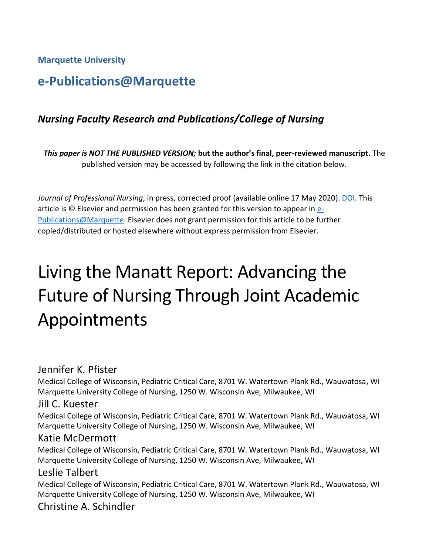**Marquette University**

# **e-Publications@Marquette**

# *Nursing Faculty Research and Publications/College of Nursing*

*This paper is NOT THE PUBLISHED VERSION;* **but the author's final, peer-reviewed manuscript.** The published version may be accessed by following the link in the citation below.

*Journal of Professional Nursing*, in press, corrected proof (available online 17 May 2020). [DOI.](https://doi.org/10.1016/j.profnurs.2020.05.004) This article is © Elsevier and permission has been granted for this version to appear in [e-](http://epublications.marquette.edu/)[Publications@Marquette.](http://epublications.marquette.edu/) Elsevier does not grant permission for this article to be further copied/distributed or hosted elsewhere without express permission from Elsevier.

# Living the Manatt Report: Advancing the Future of Nursing Through Joint Academic Appointments

#### Jennifer K. Pfister

Medical College of Wisconsin, Pediatric Critical Care, 8701 W. Watertown Plank Rd., Wauwatosa, WI Marquette University College of Nursing, 1250 W. Wisconsin Ave, Milwaukee, WI

#### Jill C. Kuester

Medical College of Wisconsin, Pediatric Critical Care, 8701 W. Watertown Plank Rd., Wauwatosa, WI Marquette University College of Nursing, 1250 W. Wisconsin Ave, Milwaukee, WI

#### Katie McDermott

Medical College of Wisconsin, Pediatric Critical Care, 8701 W. Watertown Plank Rd., Wauwatosa, WI Marquette University College of Nursing, 1250 W. Wisconsin Ave, Milwaukee, WI

#### Leslie Talbert

Medical College of Wisconsin, Pediatric Critical Care, 8701 W. Watertown Plank Rd., Wauwatosa, WI Marquette University College of Nursing, 1250 W. Wisconsin Ave, Milwaukee, WI

# Christine A. Schindler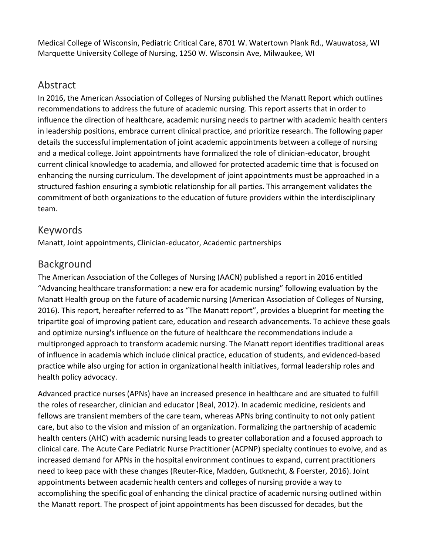Medical College of Wisconsin, Pediatric Critical Care, 8701 W. Watertown Plank Rd., Wauwatosa, WI Marquette University College of Nursing, 1250 W. Wisconsin Ave, Milwaukee, WI

# Abstract

In 2016, the American Association of Colleges of Nursing published the Manatt Report which outlines recommendations to address the future of academic nursing. This report asserts that in order to influence the direction of healthcare, academic nursing needs to partner with academic health centers in leadership positions, embrace current clinical practice, and prioritize research. The following paper details the successful implementation of joint academic appointments between a college of nursing and a medical college. Joint appointments have formalized the role of clinician-educator, brought current clinical knowledge to academia, and allowed for protected academic time that is focused on enhancing the nursing curriculum. The development of joint appointments must be approached in a structured fashion ensuring a symbiotic relationship for all parties. This arrangement validates the commitment of both organizations to the education of future providers within the interdisciplinary team.

# Keywords

Manatt, Joint appointments, Clinician-educator, Academic partnerships

# Background

The American Association of the Colleges of Nursing (AACN) published a report in 2016 entitled "Advancing healthcare transformation: a new era for academic nursing" following evaluation by the Manatt Health group on the future of academic nursing (American Association of Colleges of Nursing, 2016). This report, hereafter referred to as "The Manatt report", provides a blueprint for meeting the tripartite goal of improving patient care, education and research advancements. To achieve these goals and optimize nursing's influence on the future of healthcare the recommendations include a multipronged approach to transform academic nursing. The Manatt report identifies traditional areas of influence in academia which include clinical practice, education of students, and evidenced-based practice while also urging for action in organizational health initiatives, formal leadership roles and health policy advocacy.

Advanced practice nurses (APNs) have an increased presence in healthcare and are situated to fulfill the roles of researcher, clinician and educator (Beal, 2012). In academic medicine, residents and fellows are transient members of the care team, whereas APNs bring continuity to not only patient care, but also to the vision and mission of an organization. Formalizing the partnership of academic health centers (AHC) with academic nursing leads to greater collaboration and a focused approach to clinical care. The Acute Care Pediatric Nurse Practitioner (ACPNP) specialty continues to evolve, and as increased demand for APNs in the hospital environment continues to expand, current practitioners need to keep pace with these changes (Reuter-Rice, Madden, Gutknecht, & Foerster, 2016). Joint appointments between academic health centers and colleges of nursing provide a way to accomplishing the specific goal of enhancing the clinical practice of academic nursing outlined within the Manatt report. The prospect of joint appointments has been discussed for decades, but the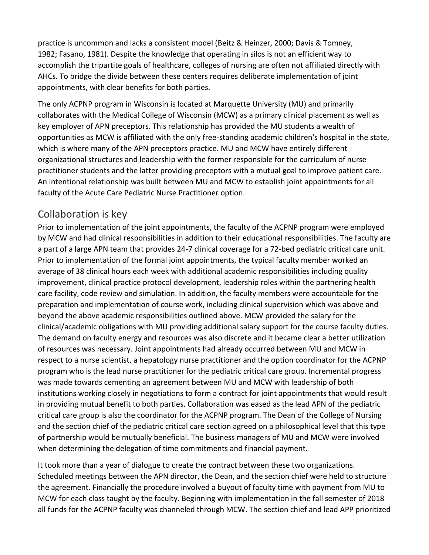practice is uncommon and lacks a consistent model (Beitz & Heinzer, 2000; Davis & Tomney, 1982; Fasano, 1981). Despite the knowledge that operating in silos is not an efficient way to accomplish the tripartite goals of healthcare, colleges of nursing are often not affiliated directly with AHCs. To bridge the divide between these centers requires deliberate implementation of joint appointments, with clear benefits for both parties.

The only ACPNP program in Wisconsin is located at Marquette University (MU) and primarily collaborates with the Medical College of Wisconsin (MCW) as a primary clinical placement as well as key employer of APN preceptors. This relationship has provided the MU students a wealth of opportunities as MCW is affiliated with the only free-standing academic children's hospital in the state, which is where many of the APN preceptors practice. MU and MCW have entirely different organizational structures and leadership with the former responsible for the curriculum of nurse practitioner students and the latter providing preceptors with a mutual goal to improve patient care. An intentional relationship was built between MU and MCW to establish joint appointments for all faculty of the Acute Care Pediatric Nurse Practitioner option.

# Collaboration is key

Prior to implementation of the joint appointments, the faculty of the ACPNP program were employed by MCW and had clinical responsibilities in addition to their educational responsibilities. The faculty are a part of a large APN team that provides 24-7 clinical coverage for a 72-bed pediatric critical care unit. Prior to implementation of the formal joint appointments, the typical faculty member worked an average of 38 clinical hours each week with additional academic responsibilities including quality improvement, clinical practice protocol development, leadership roles within the partnering health care facility, code review and simulation. In addition, the faculty members were accountable for the preparation and implementation of course work, including clinical supervision which was above and beyond the above academic responsibilities outlined above. MCW provided the salary for the clinical/academic obligations with MU providing additional salary support for the course faculty duties. The demand on faculty energy and resources was also discrete and it became clear a better utilization of resources was necessary. Joint appointments had already occurred between MU and MCW in respect to a nurse scientist, a hepatology nurse practitioner and the option coordinator for the ACPNP program who is the lead nurse practitioner for the pediatric critical care group. Incremental progress was made towards cementing an agreement between MU and MCW with leadership of both institutions working closely in negotiations to form a contract for joint appointments that would result in providing mutual benefit to both parties. Collaboration was eased as the lead APN of the pediatric critical care group is also the coordinator for the ACPNP program. The Dean of the College of Nursing and the section chief of the pediatric critical care section agreed on a philosophical level that this type of partnership would be mutually beneficial. The business managers of MU and MCW were involved when determining the delegation of time commitments and financial payment.

It took more than a year of dialogue to create the contract between these two organizations. Scheduled meetings between the APN director, the Dean, and the section chief were held to structure the agreement. Financially the procedure involved a buyout of faculty time with payment from MU to MCW for each class taught by the faculty. Beginning with implementation in the fall semester of 2018 all funds for the ACPNP faculty was channeled through MCW. The section chief and lead APP prioritized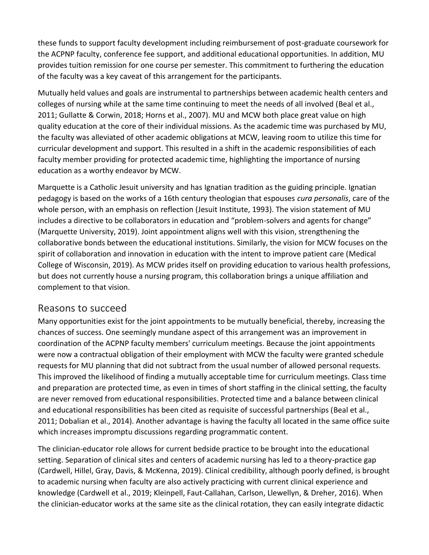these funds to support faculty development including reimbursement of post-graduate coursework for the ACPNP faculty, conference fee support, and additional educational opportunities. In addition, MU provides tuition remission for one course per semester. This commitment to furthering the education of the faculty was a key caveat of this arrangement for the participants.

Mutually held values and goals are instrumental to partnerships between academic health centers and colleges of nursing while at the same time continuing to meet the needs of all involved (Beal et al., 2011; Gullatte & Corwin, 2018; Horns et al., 2007). MU and MCW both place great value on high quality education at the core of their individual missions. As the academic time was purchased by MU, the faculty was alleviated of other academic obligations at MCW, leaving room to utilize this time for curricular development and support. This resulted in a shift in the academic responsibilities of each faculty member providing for protected academic time, highlighting the importance of nursing education as a worthy endeavor by MCW.

Marquette is a Catholic Jesuit university and has Ignatian tradition as the guiding principle. Ignatian pedagogy is based on the works of a 16th century theologian that espouses *cura personalis*, care of the whole person, with an emphasis on reflection (Jesuit Institute, 1993). The vision statement of MU includes a directive to be collaborators in education and "problem-solvers and agents for change" (Marquette University, 2019). Joint appointment aligns well with this vision, strengthening the collaborative bonds between the educational institutions. Similarly, the vision for MCW focuses on the spirit of collaboration and innovation in education with the intent to improve patient care (Medical College of Wisconsin, 2019). As MCW prides itself on providing education to various health professions, but does not currently house a nursing program, this collaboration brings a unique affiliation and complement to that vision.

### Reasons to succeed

Many opportunities exist for the joint appointments to be mutually beneficial, thereby, increasing the chances of success. One seemingly mundane aspect of this arrangement was an improvement in coordination of the ACPNP faculty members' curriculum meetings. Because the joint appointments were now a contractual obligation of their employment with MCW the faculty were granted schedule requests for MU planning that did not subtract from the usual number of allowed personal requests. This improved the likelihood of finding a mutually acceptable time for curriculum meetings. Class time and preparation are protected time, as even in times of short staffing in the clinical setting, the faculty are never removed from educational responsibilities. Protected time and a balance between clinical and educational responsibilities has been cited as requisite of successful partnerships (Beal et al., 2011; Dobalian et al., 2014). Another advantage is having the faculty all located in the same office suite which increases impromptu discussions regarding programmatic content.

The clinician-educator role allows for current bedside practice to be brought into the educational setting. Separation of clinical sites and centers of academic nursing has led to a theory-practice gap (Cardwell, Hillel, Gray, Davis, & McKenna, 2019). Clinical credibility, although poorly defined, is brought to academic nursing when faculty are also actively practicing with current clinical experience and knowledge (Cardwell et al., 2019; Kleinpell, Faut-Callahan, Carlson, Llewellyn, & Dreher, 2016). When the clinician-educator works at the same site as the clinical rotation, they can easily integrate didactic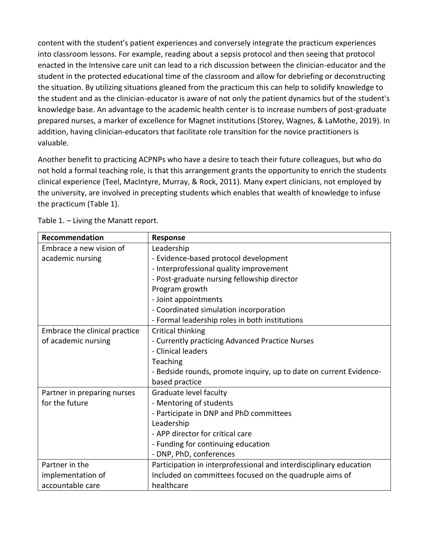content with the student's patient experiences and conversely integrate the practicum experiences into classroom lessons. For example, reading about a sepsis protocol and then seeing that protocol enacted in the Intensive care unit can lead to a rich discussion between the clinician-educator and the student in the protected educational time of the classroom and allow for debriefing or deconstructing the situation. By utilizing situations gleaned from the practicum this can help to solidify knowledge to the student and as the clinician-educator is aware of not only the patient dynamics but of the student's knowledge base. An advantage to the academic health center is to increase numbers of post-graduate prepared nurses, a marker of excellence for Magnet institutions (Storey, Wagnes, & LaMothe, 2019). In addition, having clinician-educators that facilitate role transition for the novice practitioners is valuable.

Another benefit to practicing ACPNPs who have a desire to teach their future colleagues, but who do not hold a formal teaching role, is that this arrangement grants the opportunity to enrich the students clinical experience (Teel, MacIntyre, Murray, & Rock, 2011). Many expert clinicians, not employed by the university, are involved in precepting students which enables that wealth of knowledge to infuse the practicum (Table 1).

| Recommendation                | <b>Response</b>                                                    |
|-------------------------------|--------------------------------------------------------------------|
| Embrace a new vision of       | Leadership                                                         |
| academic nursing              | - Evidence-based protocol development                              |
|                               | - Interprofessional quality improvement                            |
|                               | - Post-graduate nursing fellowship director                        |
|                               | Program growth                                                     |
|                               | - Joint appointments                                               |
|                               | - Coordinated simulation incorporation                             |
|                               | - Formal leadership roles in both institutions                     |
| Embrace the clinical practice | Critical thinking                                                  |
| of academic nursing           | - Currently practicing Advanced Practice Nurses                    |
|                               | - Clinical leaders                                                 |
|                               | Teaching                                                           |
|                               | - Bedside rounds, promote inquiry, up to date on current Evidence- |
|                               | based practice                                                     |
| Partner in preparing nurses   | Graduate level faculty                                             |
| for the future                | - Mentoring of students                                            |
|                               | - Participate in DNP and PhD committees                            |
|                               | Leadership                                                         |
|                               | - APP director for critical care                                   |
|                               | - Funding for continuing education                                 |
|                               | - DNP, PhD, conferences                                            |
| Partner in the                | Participation in interprofessional and interdisciplinary education |
| implementation of             | Included on committees focused on the quadruple aims of            |
| accountable care              | healthcare                                                         |

Table 1. – Living the Manatt report.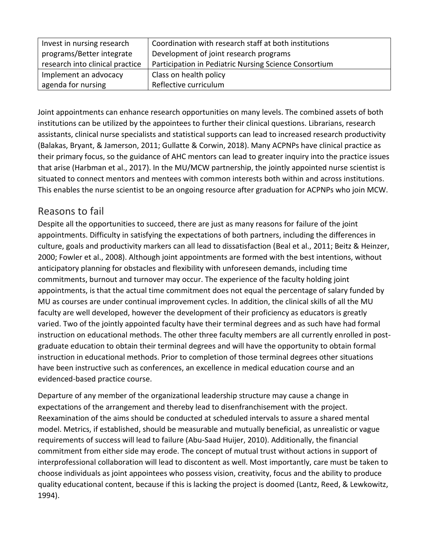| Invest in nursing research      | Coordination with research staff at both institutions |
|---------------------------------|-------------------------------------------------------|
| programs/Better integrate       | Development of joint research programs                |
| research into clinical practice | Participation in Pediatric Nursing Science Consortium |
| Implement an advocacy           | Class on health policy                                |
| agenda for nursing              | Reflective curriculum                                 |

Joint appointments can enhance research opportunities on many levels. The combined assets of both institutions can be utilized by the appointees to further their clinical questions. Librarians, research assistants, clinical nurse specialists and statistical supports can lead to increased research productivity (Balakas, Bryant, & Jamerson, 2011; Gullatte & Corwin, 2018). Many ACPNPs have clinical practice as their primary focus, so the guidance of AHC mentors can lead to greater inquiry into the practice issues that arise (Harbman et al., 2017). In the MU/MCW partnership, the jointly appointed nurse scientist is situated to connect mentors and mentees with common interests both within and across institutions. This enables the nurse scientist to be an ongoing resource after graduation for ACPNPs who join MCW.

# Reasons to fail

Despite all the opportunities to succeed, there are just as many reasons for failure of the joint appointments. Difficulty in satisfying the expectations of both partners, including the differences in culture, goals and productivity markers can all lead to dissatisfaction (Beal et al., 2011; Beitz & Heinzer, 2000; Fowler et al., 2008). Although joint appointments are formed with the best intentions, without anticipatory planning for obstacles and flexibility with unforeseen demands, including time commitments, burnout and turnover may occur. The experience of the faculty holding joint appointments, is that the actual time commitment does not equal the percentage of salary funded by MU as courses are under continual improvement cycles. In addition, the clinical skills of all the MU faculty are well developed, however the development of their proficiency as educators is greatly varied. Two of the jointly appointed faculty have their terminal degrees and as such have had formal instruction on educational methods. The other three faculty members are all currently enrolled in postgraduate education to obtain their terminal degrees and will have the opportunity to obtain formal instruction in educational methods. Prior to completion of those terminal degrees other situations have been instructive such as conferences, an excellence in medical education course and an evidenced-based practice course.

Departure of any member of the organizational leadership structure may cause a change in expectations of the arrangement and thereby lead to disenfranchisement with the project. Reexamination of the aims should be conducted at scheduled intervals to assure a shared mental model. Metrics, if established, should be measurable and mutually beneficial, as unrealistic or vague requirements of success will lead to failure (Abu-Saad Huijer, 2010). Additionally, the financial commitment from either side may erode. The concept of mutual trust without actions in support of interprofessional collaboration will lead to discontent as well. Most importantly, care must be taken to choose individuals as joint appointees who possess vision, creativity, focus and the ability to produce quality educational content, because if this is lacking the project is doomed (Lantz, Reed, & Lewkowitz, 1994).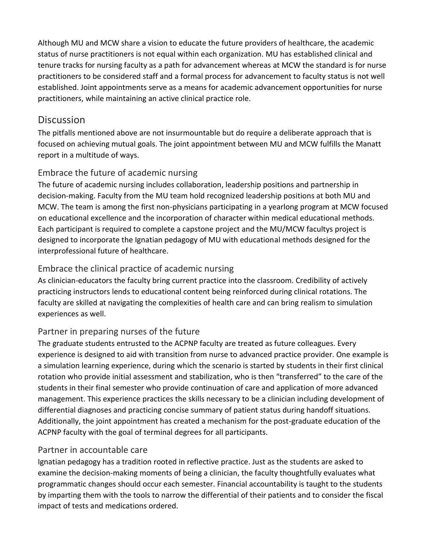Although MU and MCW share a vision to educate the future providers of healthcare, the academic status of nurse practitioners is not equal within each organization. MU has established clinical and tenure tracks for nursing faculty as a path for advancement whereas at MCW the standard is for nurse practitioners to be considered staff and a formal process for advancement to faculty status is not well established. Joint appointments serve as a means for academic advancement opportunities for nurse practitioners, while maintaining an active clinical practice role.

#### **Discussion**

The pitfalls mentioned above are not insurmountable but do require a deliberate approach that is focused on achieving mutual goals. The joint appointment between MU and MCW fulfills the Manatt report in a multitude of ways.

#### Embrace the future of academic nursing

The future of academic nursing includes collaboration, leadership positions and partnership in decision-making. Faculty from the MU team hold recognized leadership positions at both MU and MCW. The team is among the first non-physicians participating in a yearlong program at MCW focused on educational excellence and the incorporation of character within medical educational methods. Each participant is required to complete a capstone project and the MU/MCW facultys project is designed to incorporate the Ignatian pedagogy of MU with educational methods designed for the interprofessional future of healthcare.

#### Embrace the clinical practice of academic nursing

As clinician-educators the faculty bring current practice into the classroom. Credibility of actively practicing instructors lends to educational content being reinforced during clinical rotations. The faculty are skilled at navigating the complexities of health care and can bring realism to simulation experiences as well.

#### Partner in preparing nurses of the future

The graduate students entrusted to the ACPNP faculty are treated as future colleagues. Every experience is designed to aid with transition from nurse to advanced practice provider. One example is a simulation learning experience, during which the scenario is started by students in their first clinical rotation who provide initial assessment and stabilization, who is then "transferred" to the care of the students in their final semester who provide continuation of care and application of more advanced management. This experience practices the skills necessary to be a clinician including development of differential diagnoses and practicing concise summary of patient status during handoff situations. Additionally, the joint appointment has created a mechanism for the post-graduate education of the ACPNP faculty with the goal of terminal degrees for all participants.

#### Partner in accountable care

Ignatian pedagogy has a tradition rooted in reflective practice. Just as the students are asked to examine the decision-making moments of being a clinician, the faculty thoughtfully evaluates what programmatic changes should occur each semester. Financial accountability is taught to the students by imparting them with the tools to narrow the differential of their patients and to consider the fiscal impact of tests and medications ordered.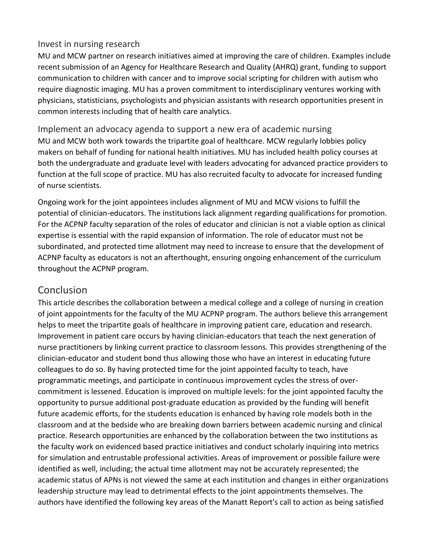#### Invest in nursing research

MU and MCW partner on research initiatives aimed at improving the care of children. Examples include recent submission of an Agency for Healthcare Research and Quality (AHRQ) grant, funding to support communication to children with cancer and to improve social scripting for children with autism who require diagnostic imaging. MU has a proven commitment to interdisciplinary ventures working with physicians, statisticians, psychologists and physician assistants with research opportunities present in common interests including that of health care analytics.

Implement an advocacy agenda to support a new era of academic nursing MU and MCW both work towards the tripartite goal of healthcare. MCW regularly lobbies policy makers on behalf of funding for national health initiatives. MU has included health policy courses at both the undergraduate and graduate level with leaders advocating for advanced practice providers to function at the full scope of practice. MU has also recruited faculty to advocate for increased funding of nurse scientists.

Ongoing work for the joint appointees includes alignment of MU and MCW visions to fulfill the potential of clinician-educators. The institutions lack alignment regarding qualifications for promotion. For the ACPNP faculty separation of the roles of educator and clinician is not a viable option as clinical expertise is essential with the rapid expansion of information. The role of educator must not be subordinated, and protected time allotment may need to increase to ensure that the development of ACPNP faculty as educators is not an afterthought, ensuring ongoing enhancement of the curriculum throughout the ACPNP program.

# Conclusion

This article describes the collaboration between a medical college and a college of nursing in creation of joint appointments for the faculty of the MU ACPNP program. The authors believe this arrangement helps to meet the tripartite goals of healthcare in improving patient care, education and research. Improvement in patient care occurs by having clinician-educators that teach the next generation of nurse practitioners by linking current practice to classroom lessons. This provides strengthening of the clinician-educator and student bond thus allowing those who have an interest in educating future colleagues to do so. By having protected time for the joint appointed faculty to teach, have programmatic meetings, and participate in continuous improvement cycles the stress of overcommitment is lessened. Education is improved on multiple levels: for the joint appointed faculty the opportunity to pursue additional post-graduate education as provided by the funding will benefit future academic efforts, for the students education is enhanced by having role models both in the classroom and at the bedside who are breaking down barriers between academic nursing and clinical practice. Research opportunities are enhanced by the collaboration between the two institutions as the faculty work on evidenced based practice initiatives and conduct scholarly inquiring into metrics for simulation and entrustable professional activities. Areas of improvement or possible failure were identified as well, including; the actual time allotment may not be accurately represented; the academic status of APNs is not viewed the same at each institution and changes in either organizations leadership structure may lead to detrimental effects to the joint appointments themselves. The authors have identified the following key areas of the Manatt Report's call to action as being satisfied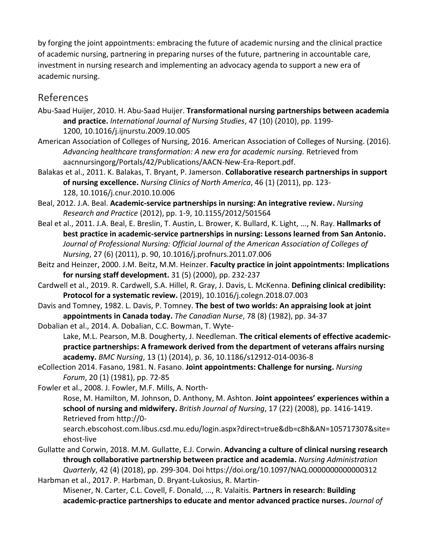by forging the joint appointments: embracing the future of academic nursing and the clinical practice of academic nursing, partnering in preparing nurses of the future, partnering in accountable care, investment in nursing research and implementing an advocacy agenda to support a new era of academic nursing.

# References

- Abu-Saad Huijer, 2010. H. Abu-Saad Huijer. **Transformational nursing partnerships between academia and practice.** *International Journal of Nursing Studies*, 47 (10) (2010), pp. 1199- 1200, 10.1016/j.ijnurstu.2009.10.005
- American Association of Colleges of Nursing, 2016. American Association of Colleges of Nursing. (2016). *Advancing healthcare transformation: A new era for academic nursing.* Retrieved from aacnnursingorg/Portals/42/Publications/AACN-New-Era-Report.pdf.
- Balakas et al., 2011. K. Balakas, T. Bryant, P. Jamerson. **Collaborative research partnerships in support of nursing excellence.** *Nursing Clinics of North America*, 46 (1) (2011), pp. 123- 128, 10.1016/j.cnur.2010.10.006
- Beal, 2012. J.A. Beal. **Academic-service partnerships in nursing: An integrative review.** *Nursing Research and Practice* (2012), pp. 1-9, 10.1155/2012/501564
- Beal et al., 2011. J.A. Beal, E. Breslin, T. Austin, L. Brower, K. Bullard, K. Light, ..., N. Ray. **Hallmarks of best practice in academic-service partnerships in nursing: Lessons learned from San Antonio.**  *Journal of Professional Nursing: Official Journal of the American Association of Colleges of Nursing*, 27 (6) (2011), p. 90, 10.1016/j.profnurs.2011.07.006
- Beitz and Heinzer, 2000. J.M. Beitz, M.M. Heinzer. **Faculty practice in joint appointments: Implications for nursing staff development.** 31 (5) (2000), pp. 232-237
- Cardwell et al., 2019. R. Cardwell, S.A. Hillel, R. Gray, J. Davis, L. McKenna. **Defining clinical credibility: Protocol for a systematic review.** (2019), 10.1016/j.colegn.2018.07.003
- Davis and Tomney, 1982. L. Davis, P. Tomney. **The best of two worlds: An appraising look at joint appointments in Canada today.** *The Canadian Nurse*, 78 (8) (1982), pp. 34-37
- Dobalian et al., 2014. A. Dobalian, C.C. Bowman, T. Wyte-

Lake, M.L. Pearson, M.B. Dougherty, J. Needleman. **The critical elements of effective academicpractice partnerships: A framework derived from the department of veterans affairs nursing academy.** *BMC Nursing*, 13 (1) (2014), p. 36, 10.1186/s12912-014-0036-8

eCollection 2014. Fasano, 1981. N. Fasano. **Joint appointments: Challenge for nursing.** *Nursing Forum*, 20 (1) (1981), pp. 72-85

Fowler et al., 2008. J. Fowler, M.F. Mills, A. North-

Rose, M. Hamilton, M. Johnson, D. Anthony, M. Ashton. **Joint appointees' experiences within a school of nursing and midwifery.** *British Journal of Nursing*, 17 (22) (2008), pp. 1416-1419. Retrieved from http://0-

search.ebscohost.com.libus.csd.mu.edu/login.aspx?direct=true&db=c8h&AN=105717307&site= ehost-live

Gullatte and Corwin, 2018. M.M. Gullatte, E.J. Corwin. **Advancing a culture of clinical nursing research through collaborative partnership between practice and academia.** *Nursing Administration Quarterly*, 42 (4) (2018), pp. 299-304. Doi https://doi.org/10.1097/NAQ.0000000000000312 Harbman et al., 2017. P. Harbman, D. Bryant-Lukosius, R. Martin-

Misener, N. Carter, C.L. Covell, F. Donald, ..., R. Valaitis. **Partners in research: Building academic-practice partnerships to educate and mentor advanced practice nurses.** *Journal of*